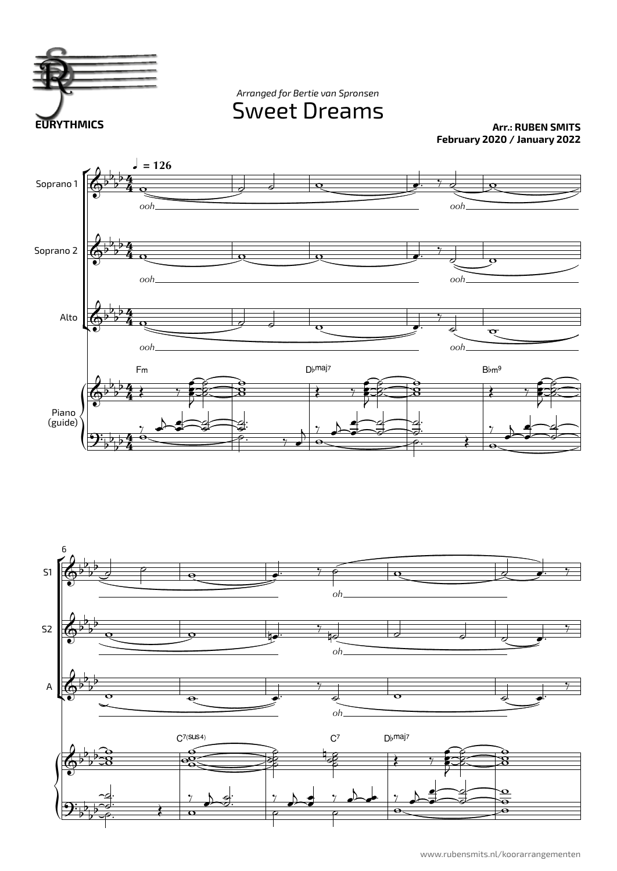

*Arranged for Bertie van Spronsen*

Sweet Dreams

**Arr.: RUBEN SMITS February 2020 / January 2022**



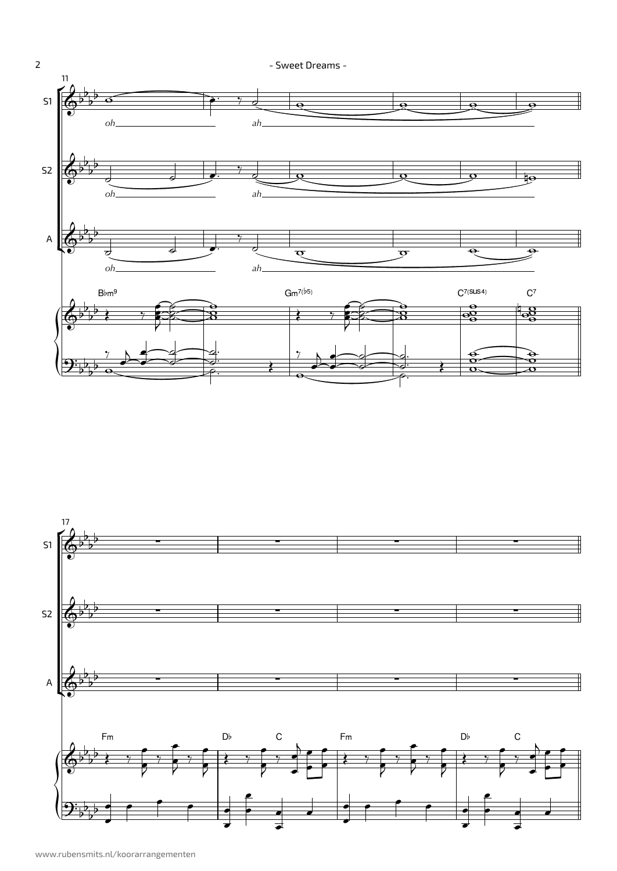

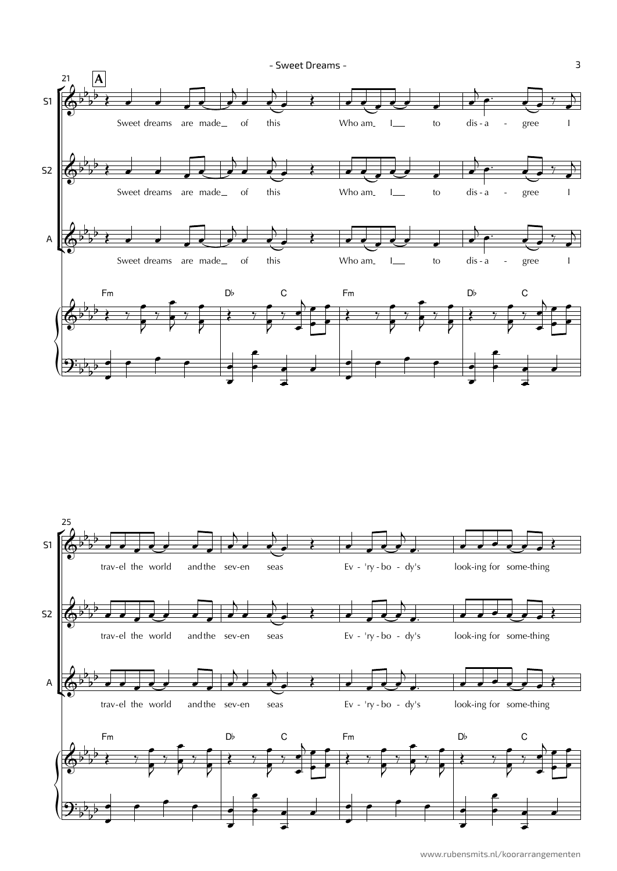

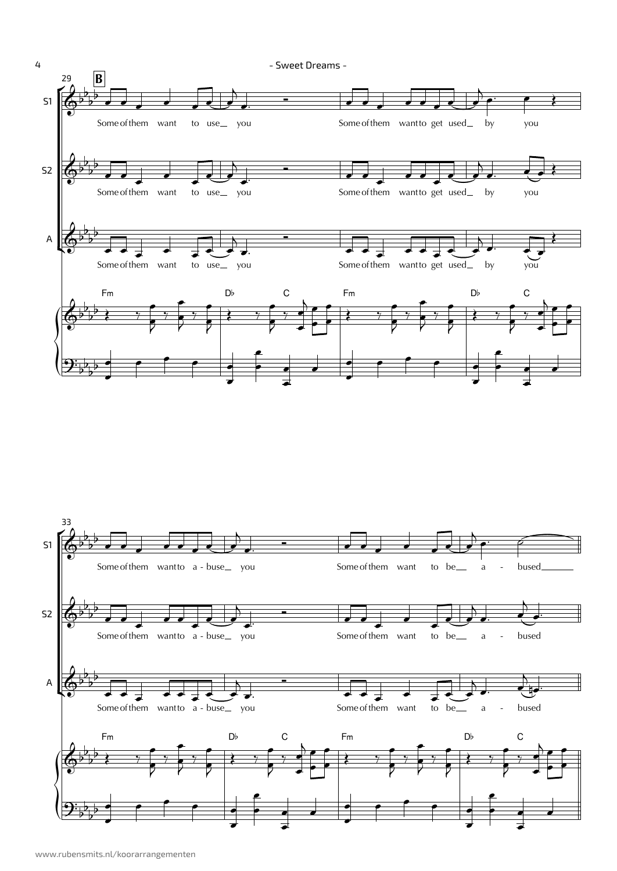

![](_page_3_Figure_1.jpeg)